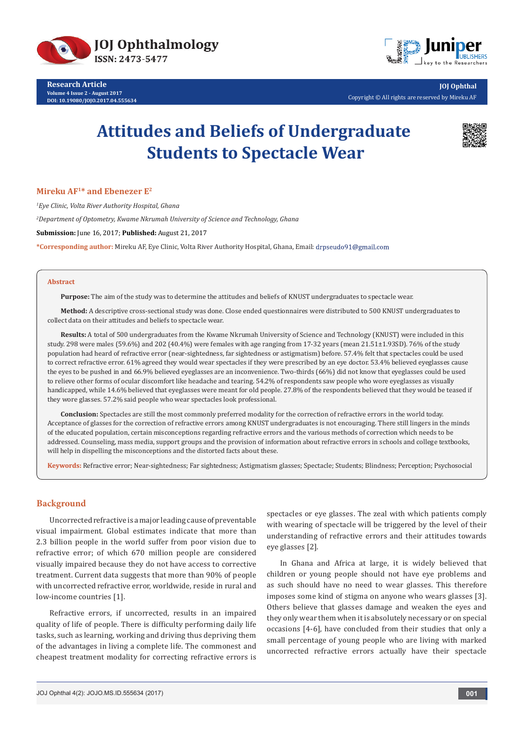

**Research Article Volume 4 Issue 2 - August 2017 DOI: [10.19080/JOJO.2017.04.555634](http://dx.doi.org/10.19080/JOJO.2017.04.555634)**



**JOJ Ophthal** Copyright © All rights are reserved by Mireku AF

# **Attitudes and Beliefs of Undergraduate Students to Spectacle Wear**



# **Mireku AF1\* and Ebenezer E2**

*1 Eye Clinic, Volta River Authority Hospital, Ghana*

*2 Department of Optometry, Kwame Nkrumah University of Science and Technology, Ghana*

**Submission:** June 16, 2017; **Published:** August 21, 2017

**\*Corresponding author:** Mireku AF, Eye Clinic, Volta River Authority Hospital, Ghana, Email:

#### **Abstract**

**Purpose:** The aim of the study was to determine the attitudes and beliefs of KNUST undergraduates to spectacle wear.

**Method:** A descriptive cross-sectional study was done. Close ended questionnaires were distributed to 500 KNUST undergraduates to collect data on their attitudes and beliefs to spectacle wear.

**Results:** A total of 500 undergraduates from the Kwame Nkrumah University of Science and Technology (KNUST) were included in this study. 298 were males (59.6%) and 202 (40.4%) were females with age ranging from 17-32 years (mean 21.51±1.93SD). 76% of the study population had heard of refractive error (near-sightedness, far sightedness or astigmatism) before. 57.4% felt that spectacles could be used to correct refractive error. 61% agreed they would wear spectacles if they were prescribed by an eye doctor. 53.4% believed eyeglasses cause the eyes to be pushed in and 66.9% believed eyeglasses are an inconvenience. Two-thirds (66%) did not know that eyeglasses could be used to relieve other forms of ocular discomfort like headache and tearing. 54.2% of respondents saw people who wore eyeglasses as visually handicapped, while 14.6% believed that eyeglasses were meant for old people. 27.8% of the respondents believed that they would be teased if they wore glasses. 57.2% said people who wear spectacles look professional.

**Conclusion:** Spectacles are still the most commonly preferred modality for the correction of refractive errors in the world today. Acceptance of glasses for the correction of refractive errors among KNUST undergraduates is not encouraging. There still lingers in the minds of the educated population, certain misconceptions regarding refractive errors and the various methods of correction which needs to be addressed. Counseling, mass media, support groups and the provision of information about refractive errors in schools and college textbooks, will help in dispelling the misconceptions and the distorted facts about these.

**Keywords:** Refractive error; Near-sightedness; Far sightedness; Astigmatism glasses; Spectacle; Students; Blindness; Perception; Psychosocial

# **Background**

Uncorrected refractive is a major leading cause of preventable visual impairment. Global estimates indicate that more than 2.3 billion people in the world suffer from poor vision due to refractive error; of which 670 million people are considered visually impaired because they do not have access to corrective treatment. Current data suggests that more than 90% of people with uncorrected refractive error, worldwide, reside in rural and low-income countries [1].

Refractive errors, if uncorrected, results in an impaired quality of life of people. There is difficulty performing daily life tasks, such as learning, working and driving thus depriving them of the advantages in living a complete life. The commonest and cheapest treatment modality for correcting refractive errors is

spectacles or eye glasses. The zeal with which patients comply with wearing of spectacle will be triggered by the level of their understanding of refractive errors and their attitudes towards eye glasses [2].

In Ghana and Africa at large, it is widely believed that children or young people should not have eye problems and as such should have no need to wear glasses. This therefore imposes some kind of stigma on anyone who wears glasses [3]. Others believe that glasses damage and weaken the eyes and they only wear them when it is absolutely necessary or on special occasions [4-6], have concluded from their studies that only a small percentage of young people who are living with marked uncorrected refractive errors actually have their spectacle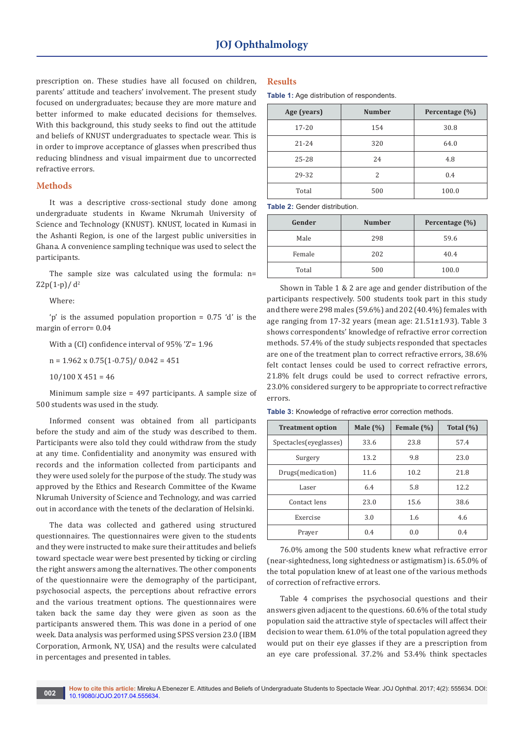prescription on. These studies have all focused on children, parents' attitude and teachers' involvement. The present study focused on undergraduates; because they are more mature and better informed to make educated decisions for themselves. With this background, this study seeks to find out the attitude and beliefs of KNUST undergraduates to spectacle wear. This is in order to improve acceptance of glasses when prescribed thus reducing blindness and visual impairment due to uncorrected refractive errors.

# **Methods**

It was a descriptive cross-sectional study done among undergraduate students in Kwame Nkrumah University of Science and Technology (KNUST). KNUST, located in Kumasi in the Ashanti Region, is one of the largest public universities in Ghana. A convenience sampling technique was used to select the participants.

The sample size was calculated using the formula: n=  $Z2p(1-p)/d^2$ 

Where:

'p' is the assumed population proportion = 0.75 'd' is the margin of error= 0.04

With a (CI) confidence interval of 95% 'Z'= 1.96

 $n = 1.962 \times 0.75(1 - 0.75) / 0.042 = 451$ 

 $10/100$  X  $451 = 46$ 

Minimum sample size = 497 participants. A sample size of 500 students was used in the study.

Informed consent was obtained from all participants before the study and aim of the study was described to them. Participants were also told they could withdraw from the study at any time. Confidentiality and anonymity was ensured with records and the information collected from participants and they were used solely for the purpose of the study. The study was approved by the Ethics and Research Committee of the Kwame Nkrumah University of Science and Technology, and was carried out in accordance with the tenets of the declaration of Helsinki.

The data was collected and gathered using structured questionnaires. The questionnaires were given to the students and they were instructed to make sure their attitudes and beliefs toward spectacle wear were best presented by ticking or circling the right answers among the alternatives. The other components of the questionnaire were the demography of the participant, psychosocial aspects, the perceptions about refractive errors and the various treatment options. The questionnaires were taken back the same day they were given as soon as the participants answered them. This was done in a period of one week. Data analysis was performed using SPSS version 23.0 (IBM Corporation, Armonk, NY, USA) and the results were calculated in percentages and presented in tables.

## **Results**

**Table 1:** Age distribution of respondents.

| Age (years) | <b>Number</b> | Percentage (%) |  |
|-------------|---------------|----------------|--|
| $17 - 20$   | 154           | 30.8           |  |
| $21 - 24$   | 320           | 64.0           |  |
| $25 - 28$   | 24            | 4.8            |  |
| 29-32       | 2             | 0.4            |  |
| Total       | 500           | 100.0          |  |

**Table 2:** Gender distribution.

| Gender | <b>Number</b> | Percentage (%) |
|--------|---------------|----------------|
| Male   | 298           | 59.6           |
| Female | 202           | 40.4           |
| Total  | 500           | 100.0          |

Shown in Table 1 & 2 are age and gender distribution of the participants respectively. 500 students took part in this study and there were 298 males (59.6%) and 202 (40.4%) females with age ranging from 17-32 years (mean age: 21.51±1.93). Table 3 shows correspondents' knowledge of refractive error correction methods. 57.4% of the study subjects responded that spectacles are one of the treatment plan to correct refractive errors, 38.6% felt contact lenses could be used to correct refractive errors, 21.8% felt drugs could be used to correct refractive errors, 23.0% considered surgery to be appropriate to correct refractive errors.

| <b>Treatment option</b> | Male $(\% )$ | Female (%) | Total $(\% )$ |
|-------------------------|--------------|------------|---------------|
| Spectacles (eyeglasses) | 33.6         | 23.8       | 57.4          |
| Surgery                 | 13.2         | 9.8        | 23.0          |
| Drugs(medication)       | 11.6         | 10.2       | 21.8          |
| Laser                   | 6.4          | 5.8        | 12.2          |
| Contact lens            | 23.0         | 15.6       | 38.6          |
| Exercise                | 3.0          | 1.6        | 4.6           |
| Prayer                  | 0.4          | 0.0        | 0.4           |

**Table 3:** Knowledge of refractive error correction methods.

76.0% among the 500 students knew what refractive error (near-sightedness, long sightedness or astigmatism) is. 65.0% of the total population knew of at least one of the various methods of correction of refractive errors.

Table 4 comprises the psychosocial questions and their answers given adjacent to the questions. 60.6% of the total study population said the attractive style of spectacles will affect their decision to wear them. 61.0% of the total population agreed they would put on their eye glasses if they are a prescription from an eye care professional. 37.2% and 53.4% think spectacles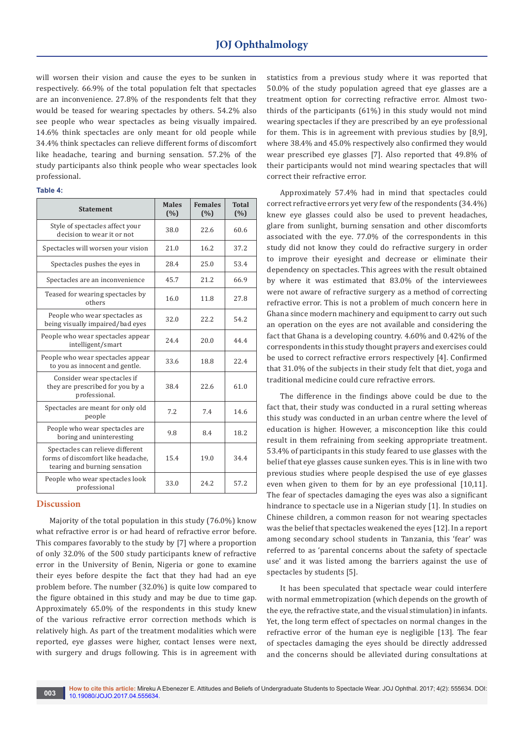will worsen their vision and cause the eyes to be sunken in respectively. 66.9% of the total population felt that spectacles are an inconvenience. 27.8% of the respondents felt that they would be teased for wearing spectacles by others. 54.2% also see people who wear spectacles as being visually impaired. 14.6% think spectacles are only meant for old people while 34.4% think spectacles can relieve different forms of discomfort like headache, tearing and burning sensation. 57.2% of the study participants also think people who wear spectacles look professional.

| e e<br>× | ۰.<br>×<br>٠ |  |
|----------|--------------|--|
|----------|--------------|--|

| <b>Statement</b>                                                                                        | <b>Males</b><br>(%) | <b>Females</b><br>(%) | <b>Total</b><br>(%) |
|---------------------------------------------------------------------------------------------------------|---------------------|-----------------------|---------------------|
| Style of spectacles affect your<br>decision to wear it or not                                           | 38.0                | 22.6                  | 60.6                |
| Spectacles will worsen your vision                                                                      | 21.0                | 16.2                  | 37.2                |
| Spectacles pushes the eyes in                                                                           | 28.4                | 25.0                  | 53.4                |
| Spectacles are an inconvenience                                                                         | 45.7                | 21.2                  | 66.9                |
| Teased for wearing spectacles by<br>others                                                              | 16.0                | 11.8                  | 27.8                |
| People who wear spectacles as<br>being visually impaired/bad eyes                                       | 32.0                | 22.2                  | 54.2                |
| People who wear spectacles appear<br>intelligent/smart                                                  | 24.4                | 20.0                  | 44.4                |
| People who wear spectacles appear<br>to you as innocent and gentle.                                     | 33.6                | 18.8                  | 22.4                |
| Consider wear spectacles if<br>they are prescribed for you by a<br>professional.                        | 38.4                | 22.6                  | 61.0                |
| Spectacles are meant for only old<br>people                                                             | 7.2                 | 7.4                   | 14.6                |
| People who wear spectacles are<br>boring and uninteresting                                              | 9.8                 | 8.4                   | 18.2                |
| Spectacles can relieve different<br>forms of discomfort like headache,<br>tearing and burning sensation | 15.4                | 19.0                  | 34.4                |
| People who wear spectacles look<br>professional                                                         | 33.0                | 24.2                  | 57.2                |

## **Discussion**

Majority of the total population in this study (76.0%) know what refractive error is or had heard of refractive error before. This compares favorably to the study by [7] where a proportion of only 32.0% of the 500 study participants knew of refractive error in the University of Benin, Nigeria or gone to examine their eyes before despite the fact that they had had an eye problem before. The number (32.0%) is quite low compared to the figure obtained in this study and may be due to time gap. Approximately 65.0% of the respondents in this study knew of the various refractive error correction methods which is relatively high. As part of the treatment modalities which were reported, eye glasses were higher, contact lenses were next, with surgery and drugs following. This is in agreement with

statistics from a previous study where it was reported that 50.0% of the study population agreed that eye glasses are a treatment option for correcting refractive error. Almost twothirds of the participants (61%) in this study would not mind wearing spectacles if they are prescribed by an eye professional for them. This is in agreement with previous studies by [8,9], where 38.4% and 45.0% respectively also confirmed they would wear prescribed eye glasses [7]. Also reported that 49.8% of their participants would not mind wearing spectacles that will correct their refractive error.

Approximately 57.4% had in mind that spectacles could correct refractive errors yet very few of the respondents (34.4%) knew eye glasses could also be used to prevent headaches, glare from sunlight, burning sensation and other discomforts associated with the eye. 77.0% of the correspondents in this study did not know they could do refractive surgery in order to improve their eyesight and decrease or eliminate their dependency on spectacles. This agrees with the result obtained by where it was estimated that 83.0% of the interviewees were not aware of refractive surgery as a method of correcting refractive error. This is not a problem of much concern here in Ghana since modern machinery and equipment to carry out such an operation on the eyes are not available and considering the fact that Ghana is a developing country. 4.60% and 0.42% of the correspondents in this study thought prayers and exercises could be used to correct refractive errors respectively [4]. Confirmed that 31.0% of the subjects in their study felt that diet, yoga and traditional medicine could cure refractive errors.

The difference in the findings above could be due to the fact that, their study was conducted in a rural setting whereas this study was conducted in an urban centre where the level of education is higher. However, a misconception like this could result in them refraining from seeking appropriate treatment. 53.4% of participants in this study feared to use glasses with the belief that eye glasses cause sunken eyes. This is in line with two previous studies where people despised the use of eye glasses even when given to them for by an eye professional [10,11]. The fear of spectacles damaging the eyes was also a significant hindrance to spectacle use in a Nigerian study [1]. In studies on Chinese children, a common reason for not wearing spectacles was the belief that spectacles weakened the eyes [12]. In a report among secondary school students in Tanzania, this 'fear' was referred to as 'parental concerns about the safety of spectacle use' and it was listed among the barriers against the use of spectacles by students [5].

It has been speculated that spectacle wear could interfere with normal emmetropization (which depends on the growth of the eye, the refractive state, and the visual stimulation) in infants. Yet, the long term effect of spectacles on normal changes in the refractive error of the human eye is negligible [13]. The fear of spectacles damaging the eyes should be directly addressed and the concerns should be alleviated during consultations at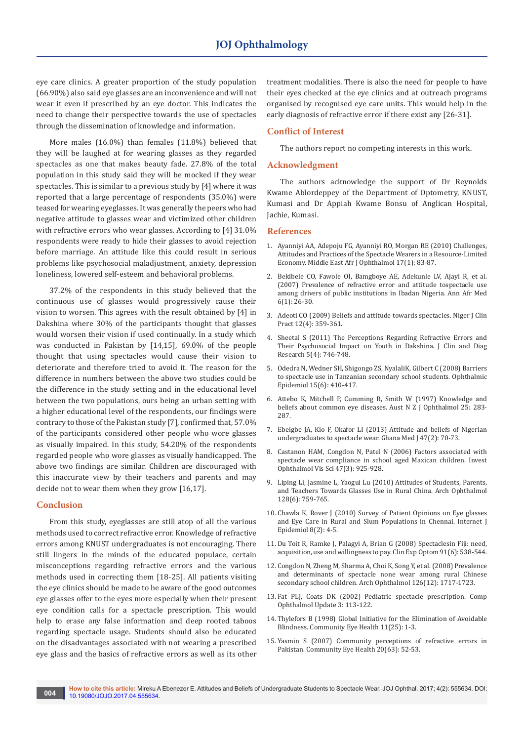eye care clinics. A greater proportion of the study population (66.90%) also said eye glasses are an inconvenience and will not wear it even if prescribed by an eye doctor. This indicates the need to change their perspective towards the use of spectacles through the dissemination of knowledge and information.

More males (16.0%) than females (11.8%) believed that they will be laughed at for wearing glasses as they regarded spectacles as one that makes beauty fade. 27.8% of the total population in this study said they will be mocked if they wear spectacles. This is similar to a previous study by [4] where it was reported that a large percentage of respondents (35.0%) were teased for wearing eyeglasses. It was generally the peers who had negative attitude to glasses wear and victimized other children with refractive errors who wear glasses. According to [4] 31.0% respondents were ready to hide their glasses to avoid rejection before marriage. An attitude like this could result in serious problems like psychosocial maladjustment, anxiety, depression loneliness, lowered self-esteem and behavioral problems.

37.2% of the respondents in this study believed that the continuous use of glasses would progressively cause their vision to worsen. This agrees with the result obtained by [4] in Dakshina where 30% of the participants thought that glasses would worsen their vision if used continually. In a study which was conducted in Pakistan by [14,15], 69.0% of the people thought that using spectacles would cause their vision to deteriorate and therefore tried to avoid it. The reason for the difference in numbers between the above two studies could be the difference in the study setting and in the educational level between the two populations, ours being an urban setting with a higher educational level of the respondents, our findings were contrary to those of the Pakistan study [7], confirmed that, 57.0% of the participants considered other people who wore glasses as visually impaired. In this study, 54.20% of the respondents regarded people who wore glasses as visually handicapped. The above two findings are similar. Children are discouraged with this inaccurate view by their teachers and parents and may decide not to wear them when they grow [16,17].

#### **Conclusion**

From this study, eyeglasses are still atop of all the various methods used to correct refractive error. Knowledge of refractive errors among KNUST undergraduates is not encouraging. There still lingers in the minds of the educated populace, certain misconceptions regarding refractive errors and the various methods used in correcting them [18-25]. All patients visiting the eye clinics should be made to be aware of the good outcomes eye glasses offer to the eyes more especially when their present eye condition calls for a spectacle prescription. This would help to erase any false information and deep rooted taboos regarding spectacle usage. Students should also be educated on the disadvantages associated with not wearing a prescribed eye glass and the basics of refractive errors as well as its other

treatment modalities. There is also the need for people to have their eyes checked at the eye clinics and at outreach programs organised by recognised eye care units. This would help in the early diagnosis of refractive error if there exist any [26-31].

## **Conflict of Interest**

The authors report no competing interests in this work.

## **Acknowledgment**

The authors acknowledge the support of Dr Reynolds Kwame Ablordeppey of the Department of Optometry, KNUST, Kumasi and Dr Appiah Kwame Bonsu of Anglican Hospital, Jachie, Kumasi.

#### **References**

- 1. [Ayanniyi AA, Adepoju FG, Ayanniyi RO, Morgan RE \(2010\) Challenges,](https://www.ncbi.nlm.nih.gov/pubmed/20543943)  [Attitudes and Practices of the Spectacle Wearers in a Resource-Limited](https://www.ncbi.nlm.nih.gov/pubmed/20543943)  [Economy. Middle East Afr J Ophthalmol 17\(1\): 83-87.](https://www.ncbi.nlm.nih.gov/pubmed/20543943)
- 2. [Bekibele CO, Fawole OI, Bamgboye AE, Adekunle LV, Ajayi R, et al.](https://www.ncbi.nlm.nih.gov/pubmed/18240488)  [\(2007\) Prevalence of refractive error and attitude tospectacle use](https://www.ncbi.nlm.nih.gov/pubmed/18240488)  [among drivers of public institutions in Ibadan Nigeria. Ann Afr Med](https://www.ncbi.nlm.nih.gov/pubmed/18240488)  [6\(1\): 26-30.](https://www.ncbi.nlm.nih.gov/pubmed/18240488)
- 3. [Adeoti CO \(2009\) Beliefs and attitude towards spectacles. Niger J Clin](https://www.ncbi.nlm.nih.gov/pubmed/20329671)  [Pract 12\(4\): 359-361.](https://www.ncbi.nlm.nih.gov/pubmed/20329671)
- 4. Sheetal S (2011) The Perceptions Regarding Refractive Errors and Their Psychosocial Impact on Youth in Dakshina. J Clin and Diag Research 5(4): 746-748.
- 5. [Odedra N, Wedner SH, Shigongo ZS, NyalaliK, Gilbert C \(2008\) Barriers](https://www.ncbi.nlm.nih.gov/pubmed/19065434)  [to spectacle use in Tanzanian secondary school students. Ophthalmic](https://www.ncbi.nlm.nih.gov/pubmed/19065434)  [Epidemiol 15\(6\): 410-417.](https://www.ncbi.nlm.nih.gov/pubmed/19065434)
- 6. [Attebo K, Mitchell P, Cumming R, Smith W \(1997\) Knowledge and](https://www.ncbi.nlm.nih.gov/pubmed/9395831)  [beliefs about common eye diseases. Aust N Z J Ophthalmol 25: 283-](https://www.ncbi.nlm.nih.gov/pubmed/9395831) [287.](https://www.ncbi.nlm.nih.gov/pubmed/9395831)
- 7. [Ebeigbe JA, Kio F, Okafor LI \(2013\) Attitude and beliefs of Nigerian](https://www.ncbi.nlm.nih.gov/pubmed/23966742/)  [undergraduates to spectacle wear. Ghana Med J 47\(2\): 70-73.](https://www.ncbi.nlm.nih.gov/pubmed/23966742/)
- 8. [Castanon HAM, Congdon N, Patel N \(2006\) Factors associated with](https://www.ncbi.nlm.nih.gov/pubmed/16505025)  [spectacle wear compliance in school aged Maxican children. Invest](https://www.ncbi.nlm.nih.gov/pubmed/16505025)  [Ophthalmol Vis Sci 47\(3\): 925-928.](https://www.ncbi.nlm.nih.gov/pubmed/16505025)
- 9. [Liping Li, Jasmine L, Yaogui Lu \(2010\) Attitudes of Students, Parents,](https://www.ncbi.nlm.nih.gov/pubmed/20547954)  [and Teachers Towards Glasses Use in Rural China. Arch Ophthalmol](https://www.ncbi.nlm.nih.gov/pubmed/20547954)  [128\(6\): 759-765.](https://www.ncbi.nlm.nih.gov/pubmed/20547954)
- 10. Chawla K, Rover J (2010) Survey of Patient Opinions on Eye glasses and Eye Care in Rural and Slum Populations in Chennai. Internet J Epidemiol 8(2): 4-5.
- 11. [Du Toit R, Ramke J, Palagyi A, Brian G \(2008\) Spectaclesin Fiji: need,](http://onlinelibrary.wiley.com/doi/10.1111/j.1444-0938.2008.00286.x/full)  [acquisition, use and willingness to pay. Clin Exp Optom 91\(6\): 538-544.](http://onlinelibrary.wiley.com/doi/10.1111/j.1444-0938.2008.00286.x/full)
- 12. [Congdon N, Zheng M, Sharma A, Choi K, Song Y, et al. \(2008\) Prevalence](https://www.ncbi.nlm.nih.gov/pubmed/19064854)  [and determinants of spectacle none wear among rural Chinese](https://www.ncbi.nlm.nih.gov/pubmed/19064854)  [secondary school children. Arch Ophthalmol 126\(12\): 1717-1723.](https://www.ncbi.nlm.nih.gov/pubmed/19064854)
- 13. Fat PLJ, Coats DK (2002) Pediatric spectacle prescription. Comp Ophthalmol Update 3: 113-122.
- 14. [Thylefors B \(1998\) Global Initiative for the Elimination of Avoidable](https://www.ncbi.nlm.nih.gov/pubmed/17492014/)  [Blindness. Community Eye Health 11\(25\): 1-3.](https://www.ncbi.nlm.nih.gov/pubmed/17492014/)
- 15. [Yasmin S \(2007\) Community perceptions of refractive errors in](https://www.ncbi.nlm.nih.gov/pubmed/17971915/)  [Pakistan. Community Eye Health 20\(63\): 52-53.](https://www.ncbi.nlm.nih.gov/pubmed/17971915/)